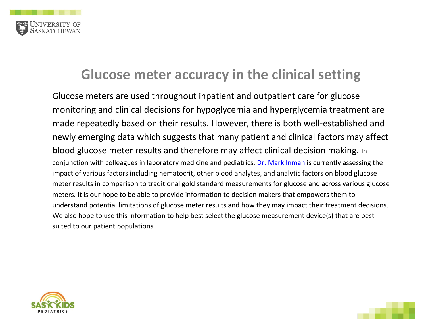

## **Glucose meter accuracy in the clinical setting**

Glucose meters are used throughout inpatient and outpatient care for glucose monitoring and clinical decisions for hypoglycemia and hyperglycemia treatment are made repeatedly based on their results. However, there is both well-established and newly emerging data which suggests that many patient and clinical factors may affect blood glucose meter results and therefore may affect clinical decision making. In conjunction with colleagues in laboratory medicine and pediatrics, [Dr. Mark Inman](https://medicine.usask.ca/profiles/pediatric-divisions/endocrinology/index.php) is currently assessing the impact of various factors including hematocrit, other blood analytes, and analytic factors on blood glucose meter results in comparison to traditional gold standard measurements for glucose and across various glucose meters. It is our hope to be able to provide information to decision makers that empowers them to understand potential limitations of glucose meter results and how they may impact their treatment decisions. We also hope to use this information to help best select the glucose measurement device(s) that are best suited to our patient populations.